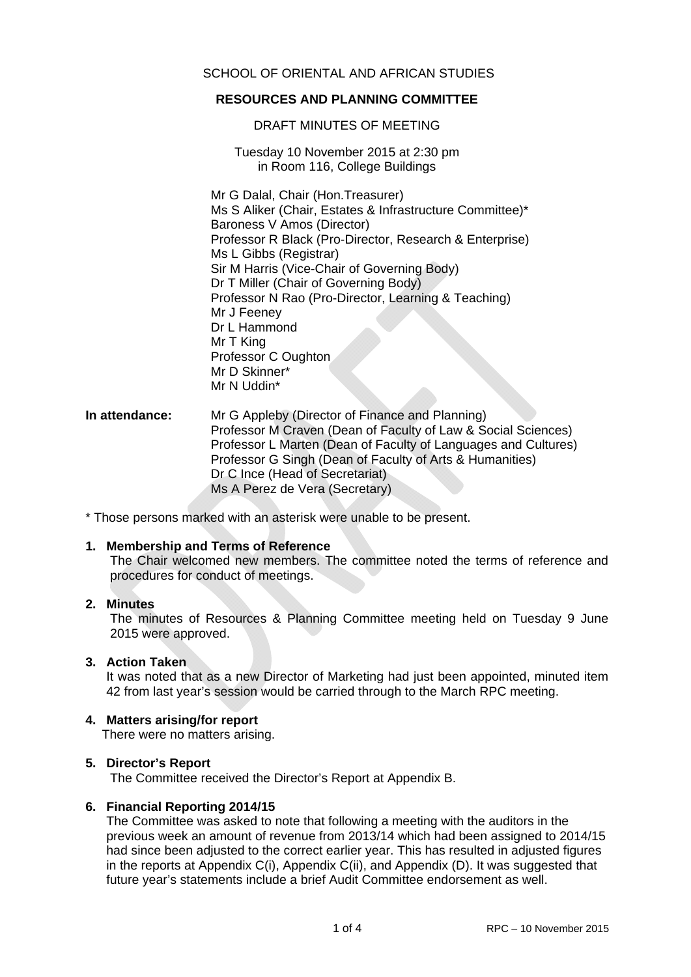# SCHOOL OF ORIENTAL AND AFRICAN STUDIES

# **RESOURCES AND PLANNING COMMITTEE**

DRAFT MINUTES OF MEETING

Tuesday 10 November 2015 at 2:30 pm in Room 116, College Buildings

Mr G Dalal, Chair (Hon.Treasurer) Ms S Aliker (Chair, Estates & Infrastructure Committee)\* Baroness V Amos (Director) Professor R Black (Pro-Director, Research & Enterprise) Ms L Gibbs (Registrar) Sir M Harris (Vice-Chair of Governing Body) Dr T Miller (Chair of Governing Body) Professor N Rao (Pro-Director, Learning & Teaching) Mr J Feeney Dr L Hammond Mr T King Professor C Oughton Mr D Skinner\* Mr N Uddin\*

### **In attendance:** Mr G Appleby (Director of Finance and Planning) Professor M Craven (Dean of Faculty of Law & Social Sciences) Professor L Marten (Dean of Faculty of Languages and Cultures) Professor G Singh (Dean of Faculty of Arts & Humanities) Dr C Ince (Head of Secretariat) Ms A Perez de Vera (Secretary)

\* Those persons marked with an asterisk were unable to be present.

#### **1. Membership and Terms of Reference**

The Chair welcomed new members. The committee noted the terms of reference and procedures for conduct of meetings.

# **2. Minutes**

The minutes of Resources & Planning Committee meeting held on Tuesday 9 June 2015 were approved.

#### **3. Action Taken**

It was noted that as a new Director of Marketing had just been appointed, minuted item 42 from last year's session would be carried through to the March RPC meeting.

#### **4. Matters arising/for report**

There were no matters arising.

#### **5. Director's Report**

The Committee received the Director's Report at Appendix B.

#### **6. Financial Reporting 2014/15**

The Committee was asked to note that following a meeting with the auditors in the previous week an amount of revenue from 2013/14 which had been assigned to 2014/15 had since been adjusted to the correct earlier year. This has resulted in adjusted figures in the reports at Appendix C(i), Appendix C(ii), and Appendix (D). It was suggested that future year's statements include a brief Audit Committee endorsement as well.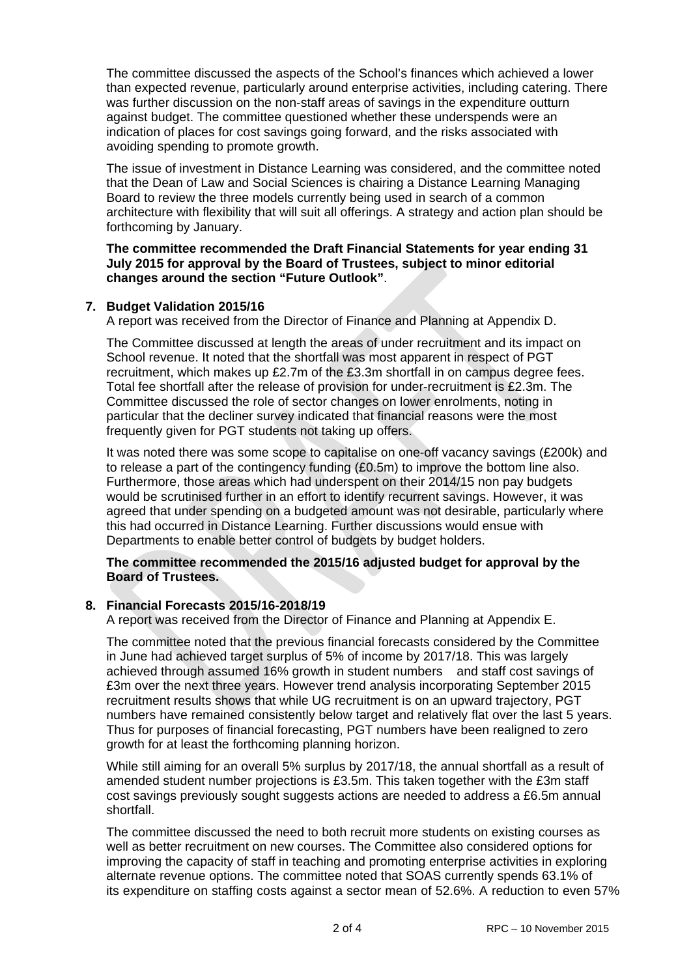The committee discussed the aspects of the School's finances which achieved a lower than expected revenue, particularly around enterprise activities, including catering. There was further discussion on the non-staff areas of savings in the expenditure outturn against budget. The committee questioned whether these underspends were an indication of places for cost savings going forward, and the risks associated with avoiding spending to promote growth.

The issue of investment in Distance Learning was considered, and the committee noted that the Dean of Law and Social Sciences is chairing a Distance Learning Managing Board to review the three models currently being used in search of a common architecture with flexibility that will suit all offerings. A strategy and action plan should be forthcoming by January.

**The committee recommended the Draft Financial Statements for year ending 31 July 2015 for approval by the Board of Trustees, subject to minor editorial changes around the section "Future Outlook"**.

# **7. Budget Validation 2015/16**

A report was received from the Director of Finance and Planning at Appendix D.

The Committee discussed at length the areas of under recruitment and its impact on School revenue. It noted that the shortfall was most apparent in respect of PGT recruitment, which makes up £2.7m of the £3.3m shortfall in on campus degree fees. Total fee shortfall after the release of provision for under-recruitment is £2.3m. The Committee discussed the role of sector changes on lower enrolments, noting in particular that the decliner survey indicated that financial reasons were the most frequently given for PGT students not taking up offers.

It was noted there was some scope to capitalise on one-off vacancy savings (£200k) and to release a part of the contingency funding (£0.5m) to improve the bottom line also. Furthermore, those areas which had underspent on their 2014/15 non pay budgets would be scrutinised further in an effort to identify recurrent savings. However, it was agreed that under spending on a budgeted amount was not desirable, particularly where this had occurred in Distance Learning. Further discussions would ensue with Departments to enable better control of budgets by budget holders.

# **The committee recommended the 2015/16 adjusted budget for approval by the Board of Trustees.**

# **8. Financial Forecasts 2015/16-2018/19**

A report was received from the Director of Finance and Planning at Appendix E.

The committee noted that the previous financial forecasts considered by the Committee in June had achieved target surplus of 5% of income by 2017/18. This was largely achieved through assumed 16% growth in student numbers and staff cost savings of £3m over the next three years. However trend analysis incorporating September 2015 recruitment results shows that while UG recruitment is on an upward trajectory, PGT numbers have remained consistently below target and relatively flat over the last 5 years. Thus for purposes of financial forecasting, PGT numbers have been realigned to zero growth for at least the forthcoming planning horizon.

While still aiming for an overall 5% surplus by 2017/18, the annual shortfall as a result of amended student number projections is £3.5m. This taken together with the £3m staff cost savings previously sought suggests actions are needed to address a £6.5m annual shortfall.

The committee discussed the need to both recruit more students on existing courses as well as better recruitment on new courses. The Committee also considered options for improving the capacity of staff in teaching and promoting enterprise activities in exploring alternate revenue options. The committee noted that SOAS currently spends 63.1% of its expenditure on staffing costs against a sector mean of 52.6%. A reduction to even 57%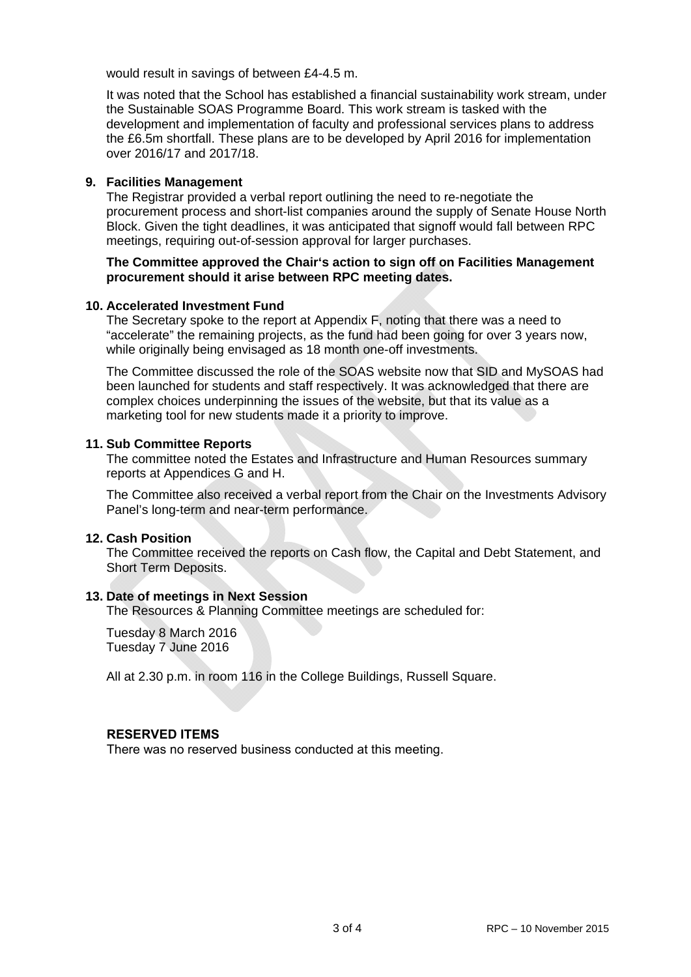would result in savings of between £4-4.5 m.

It was noted that the School has established a financial sustainability work stream, under the Sustainable SOAS Programme Board. This work stream is tasked with the development and implementation of faculty and professional services plans to address the £6.5m shortfall. These plans are to be developed by April 2016 for implementation over 2016/17 and 2017/18.

### **9. Facilities Management**

The Registrar provided a verbal report outlining the need to re-negotiate the procurement process and short-list companies around the supply of Senate House North Block. Given the tight deadlines, it was anticipated that signoff would fall between RPC meetings, requiring out-of-session approval for larger purchases.

### **The Committee approved the Chair's action to sign off on Facilities Management procurement should it arise between RPC meeting dates.**

#### **10. Accelerated Investment Fund**

The Secretary spoke to the report at Appendix F, noting that there was a need to "accelerate" the remaining projects, as the fund had been going for over 3 years now, while originally being envisaged as 18 month one-off investments.

The Committee discussed the role of the SOAS website now that SID and MySOAS had been launched for students and staff respectively. It was acknowledged that there are complex choices underpinning the issues of the website, but that its value as a marketing tool for new students made it a priority to improve.

### **11. Sub Committee Reports**

The committee noted the Estates and Infrastructure and Human Resources summary reports at Appendices G and H.

The Committee also received a verbal report from the Chair on the Investments Advisory Panel's long-term and near-term performance.

# **12. Cash Position**

The Committee received the reports on Cash flow, the Capital and Debt Statement, and Short Term Deposits.

# **13. Date of meetings in Next Session**

The Resources & Planning Committee meetings are scheduled for:

Tuesday 8 March 2016 Tuesday 7 June 2016

All at 2.30 p.m. in room 116 in the College Buildings, Russell Square.

# **RESERVED ITEMS**

There was no reserved business conducted at this meeting.